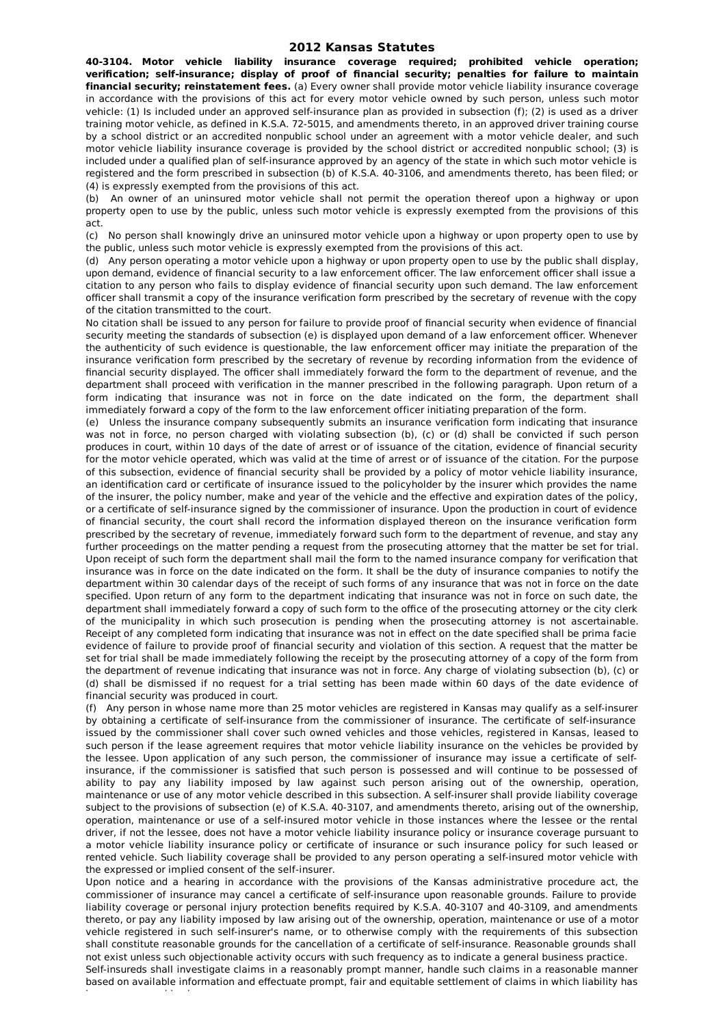## **2012 Kansas Statutes**

**40-3104. Motor vehicle liability insurance coverage required; prohibited vehicle operation; verification; self-insurance; display of proof of financial security; penalties for failure to maintain financial security; reinstatement fees.** (a) Every owner shall provide motor vehicle liability insurance coverage in accordance with the provisions of this act for every motor vehicle owned by such person, unless such motor vehicle: (1) Is included under an approved self-insurance plan as provided in subsection (f); (2) is used as a driver training motor vehicle, as defined in K.S.A. 72-5015, and amendments thereto, in an approved driver training course by a school district or an accredited nonpublic school under an agreement with a motor vehicle dealer, and such motor vehicle liability insurance coverage is provided by the school district or accredited nonpublic school; (3) is included under a qualified plan of self-insurance approved by an agency of the state in which such motor vehicle is registered and the form prescribed in subsection (b) of K.S.A. 40-3106, and amendments thereto, has been filed; or (4) is expressly exempted from the provisions of this act.

(b) An owner of an uninsured motor vehicle shall not permit the operation thereof upon a highway or upon property open to use by the public, unless such motor vehicle is expressly exempted from the provisions of this act.

(c) No person shall knowingly drive an uninsured motor vehicle upon a highway or upon property open to use by the public, unless such motor vehicle is expressly exempted from the provisions of this act.

(d) Any person operating a motor vehicle upon a highway or upon property open to use by the public shall display, upon demand, evidence of financial security to a law enforcement officer. The law enforcement officer shall issue a citation to any person who fails to display evidence of financial security upon such demand. The law enforcement officer shall transmit a copy of the insurance verification form prescribed by the secretary of revenue with the copy of the citation transmitted to the court.

No citation shall be issued to any person for failure to provide proof of financial security when evidence of financial security meeting the standards of subsection (e) is displayed upon demand of a law enforcement officer. Whenever the authenticity of such evidence is questionable, the law enforcement officer may initiate the preparation of the insurance verification form prescribed by the secretary of revenue by recording information from the evidence of financial security displayed. The officer shall immediately forward the form to the department of revenue, and the department shall proceed with verification in the manner prescribed in the following paragraph. Upon return of a form indicating that insurance was not in force on the date indicated on the form, the department shall immediately forward a copy of the form to the law enforcement officer initiating preparation of the form.

(e) Unless the insurance company subsequently submits an insurance verification form indicating that insurance was not in force, no person charged with violating subsection (b), (c) or (d) shall be convicted if such person produces in court, within 10 days of the date of arrest or of issuance of the citation, evidence of financial security for the motor vehicle operated, which was valid at the time of arrest or of issuance of the citation. For the purpose of this subsection, evidence of financial security shall be provided by a policy of motor vehicle liability insurance, an identification card or certificate of insurance issued to the policyholder by the insurer which provides the name of the insurer, the policy number, make and year of the vehicle and the effective and expiration dates of the policy, or a certificate of self-insurance signed by the commissioner of insurance. Upon the production in court of evidence of financial security, the court shall record the information displayed thereon on the insurance verification form prescribed by the secretary of revenue, immediately forward such form to the department of revenue, and stay any further proceedings on the matter pending a request from the prosecuting attorney that the matter be set for trial. Upon receipt of such form the department shall mail the form to the named insurance company for verification that insurance was in force on the date indicated on the form. It shall be the duty of insurance companies to notify the department within 30 calendar days of the receipt of such forms of any insurance that was not in force on the date specified. Upon return of any form to the department indicating that insurance was not in force on such date, the department shall immediately forward a copy of such form to the office of the prosecuting attorney or the city clerk of the municipality in which such prosecution is pending when the prosecuting attorney is not ascertainable. Receipt of any completed form indicating that insurance was not in effect on the date specified shall be prima facie evidence of failure to provide proof of financial security and violation of this section. A request that the matter be set for trial shall be made immediately following the receipt by the prosecuting attorney of a copy of the form from the department of revenue indicating that insurance was not in force. Any charge of violating subsection (b), (c) or (d) shall be dismissed if no request for a trial setting has been made within 60 days of the date evidence of financial security was produced in court.

(f) Any person in whose name more than 25 motor vehicles are registered in Kansas may qualify as a self-insurer by obtaining a certificate of self-insurance from the commissioner of insurance. The certificate of self-insurance issued by the commissioner shall cover such owned vehicles and those vehicles, registered in Kansas, leased to such person if the lease agreement requires that motor vehicle liability insurance on the vehicles be provided by the lessee. Upon application of any such person, the commissioner of insurance may issue a certificate of selfinsurance, if the commissioner is satisfied that such person is possessed and will continue to be possessed of ability to pay any liability imposed by law against such person arising out of the ownership, operation, maintenance or use of any motor vehicle described in this subsection. A self-insurer shall provide liability coverage subject to the provisions of subsection (e) of K.S.A. 40-3107, and amendments thereto, arising out of the ownership, operation, maintenance or use of a self-insured motor vehicle in those instances where the lessee or the rental driver, if not the lessee, does not have a motor vehicle liability insurance policy or insurance coverage pursuant to a motor vehicle liability insurance policy or certificate of insurance or such insurance policy for such leased or rented vehicle. Such liability coverage shall be provided to any person operating a self-insured motor vehicle with the expressed or implied consent of the self-insurer.

Upon notice and a hearing in accordance with the provisions of the Kansas administrative procedure act, the commissioner of insurance may cancel a certificate of self-insurance upon reasonable grounds. Failure to provide liability coverage or personal injury protection benefits required by K.S.A. 40-3107 and 40-3109, and amendments thereto, or pay any liability imposed by law arising out of the ownership, operation, maintenance or use of a motor vehicle registered in such self-insurer's name, or to otherwise comply with the requirements of this subsection shall constitute reasonable grounds for the cancellation of a certificate of self-insurance. Reasonable grounds shall not exist unless such objectionable activity occurs with such frequency as to indicate a general business practice.

Self-insureds shall investigate claims in a reasonably prompt manner, handle such claims in a reasonable manner based on available information and effectuate prompt, fair and equitable settlement of claims in which liability has

become reasonably clear.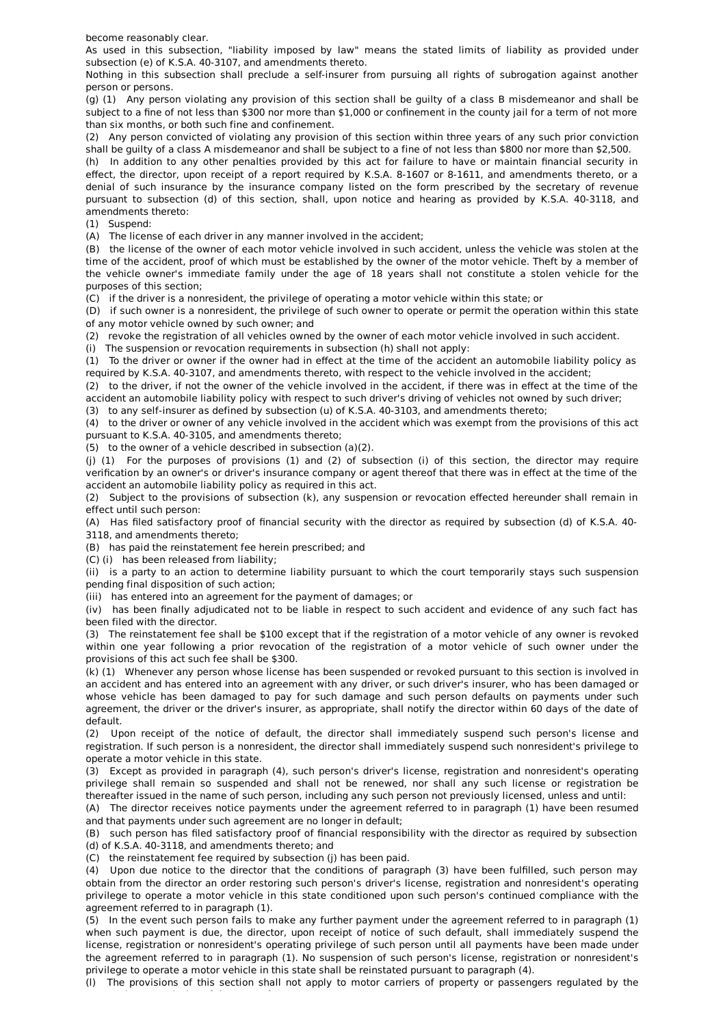become reasonably clear.

As used in this subsection, "liability imposed by law" means the stated limits of liability as provided under subsection (e) of K.S.A. 40-3107, and amendments thereto.

Nothing in this subsection shall preclude a self-insurer from pursuing all rights of subrogation against another person or persons.

(g) (1) Any person violating any provision of this section shall be guilty of a class B misdemeanor and shall be subject to a fine of not less than \$300 nor more than \$1,000 or confinement in the county jail for a term of not more than six months, or both such fine and confinement.

(2) Any person convicted of violating any provision of this section within three years of any such prior conviction shall be guilty of a class A misdemeanor and shall be subject to a fine of not less than \$800 nor more than \$2,500.

(h) In addition to any other penalties provided by this act for failure to have or maintain financial security in effect, the director, upon receipt of a report required by K.S.A. 8-1607 or 8-1611, and amendments thereto, or a denial of such insurance by the insurance company listed on the form prescribed by the secretary of revenue pursuant to subsection (d) of this section, shall, upon notice and hearing as provided by K.S.A. 40-3118, and amendments thereto:

(1) Suspend:

(A) The license of each driver in any manner involved in the accident;

(B) the license of the owner of each motor vehicle involved in such accident, unless the vehicle was stolen at the time of the accident, proof of which must be established by the owner of the motor vehicle. Theft by a member of the vehicle owner's immediate family under the age of 18 years shall not constitute a stolen vehicle for the purposes of this section;

(C) if the driver is a nonresident, the privilege of operating a motor vehicle within this state; or

(D) if such owner is a nonresident, the privilege of such owner to operate or permit the operation within this state of any motor vehicle owned by such owner; and

(2) revoke the registration of all vehicles owned by the owner of each motor vehicle involved in such accident.

(i) The suspension or revocation requirements in subsection (h) shall not apply:

(1) To the driver or owner if the owner had in effect at the time of the accident an automobile liability policy as required by K.S.A. 40-3107, and amendments thereto, with respect to the vehicle involved in the accident;

(2) to the driver, if not the owner of the vehicle involved in the accident, if there was in effect at the time of the accident an automobile liability policy with respect to such driver's driving of vehicles not owned by such driver; (3) to any self-insurer as defined by subsection (u) of K.S.A. 40-3103, and amendments thereto;

(4) to the driver or owner of any vehicle involved in the accident which was exempt from the provisions of this act

pursuant to K.S.A. 40-3105, and amendments thereto; (5) to the owner of a vehicle described in subsection (a)(2).

(j) (1) For the purposes of provisions (1) and (2) of subsection (i) of this section, the director may require verification by an owner's or driver's insurance company or agent thereof that there was in effect at the time of the accident an automobile liability policy as required in this act.

(2) Subject to the provisions of subsection (k), any suspension or revocation effected hereunder shall remain in effect until such person:

(A) Has filed satisfactory proof of financial security with the director as required by subsection (d) of K.S.A. 40- 3118, and amendments thereto;

(B) has paid the reinstatement fee herein prescribed; and

(C) (i) has been released from liability;

(ii) is a party to an action to determine liability pursuant to which the court temporarily stays such suspension pending final disposition of such action;

(iii) has entered into an agreement for the payment of damages; or

(iv) has been finally adjudicated not to be liable in respect to such accident and evidence of any such fact has been filed with the director.

(3) The reinstatement fee shall be \$100 except that if the registration of a motor vehicle of any owner is revoked within one year following a prior revocation of the registration of a motor vehicle of such owner under the provisions of this act such fee shall be \$300.

(k) (1) Whenever any person whose license has been suspended or revoked pursuant to this section is involved in an accident and has entered into an agreement with any driver, or such driver's insurer, who has been damaged or whose vehicle has been damaged to pay for such damage and such person defaults on payments under such agreement, the driver or the driver's insurer, as appropriate, shall notify the director within 60 days of the date of default.

(2) Upon receipt of the notice of default, the director shall immediately suspend such person's license and registration. If such person is a nonresident, the director shall immediately suspend such nonresident's privilege to operate a motor vehicle in this state.

(3) Except as provided in paragraph (4), such person's driver's license, registration and nonresident's operating privilege shall remain so suspended and shall not be renewed, nor shall any such license or registration be thereafter issued in the name of such person, including any such person not previously licensed, unless and until:

(A) The director receives notice payments under the agreement referred to in paragraph (1) have been resumed and that payments under such agreement are no longer in default;

(B) such person has filed satisfactory proof of financial responsibility with the director as required by subsection (d) of K.S.A. 40-3118, and amendments thereto; and

(C) the reinstatement fee required by subsection (j) has been paid.

(4) Upon due notice to the director that the conditions of paragraph (3) have been fulfilled, such person may obtain from the director an order restoring such person's driver's license, registration and nonresident's operating privilege to operate a motor vehicle in this state conditioned upon such person's continued compliance with the agreement referred to in paragraph (1).

(5) In the event such person fails to make any further payment under the agreement referred to in paragraph (1) when such payment is due, the director, upon receipt of notice of such default, shall immediately suspend the license, registration or nonresident's operating privilege of such person until all payments have been made under the agreement referred to in paragraph (1). No suspension of such person's license, registration or nonresident's privilege to operate a motor vehicle in this state shall be reinstated pursuant to paragraph (4).

(l) The provisions of this section shall not apply to motor carriers of property or passengers regulated by the